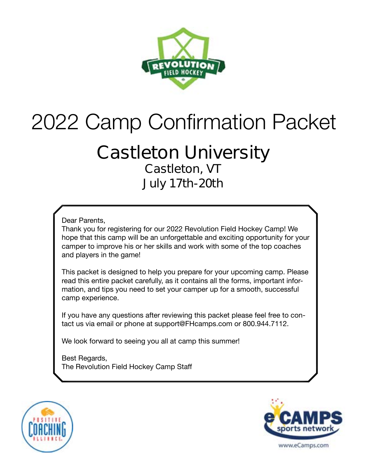

# 2022 Camp Confirmation Packet

## **Castleton University Castleton, VT July 17th-20th**

Dear Parents,

Thank you for registering for our 2022 Revolution Field Hockey Camp! We hope that this camp will be an unforgettable and exciting opportunity for your camper to improve his or her skills and work with some of the top coaches and players in the game!

This packet is designed to help you prepare for your upcoming camp. Please read this entire packet carefully, as it contains all the forms, important information, and tips you need to set your camper up for a smooth, successful camp experience.

If you have any questions after reviewing this packet please feel free to contact us via email or phone at support@FHcamps.com or 800.944.7112.

We look forward to seeing you all at camp this summer!

Best Regards, The Revolution Field Hockey Camp Staff



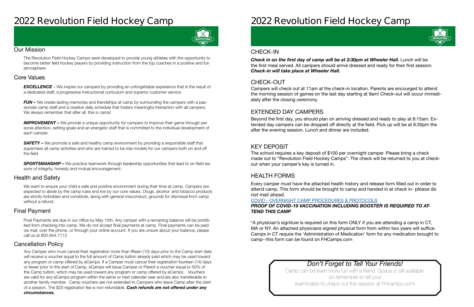## **2022 Revolution Field Hockey Camp**



#### Our Mission

The Revolution Field Hockey Camps were developed to provide young athletes with the opportunity to become better field hockey players by providing instruction from the top coaches in a positive and fun atmosphere.

#### Health and Safety

We want to ensure your child a safe and positive environment during their time at camp. Campers are expected to abide by the camp rules and live by our core values. Drugs, alcohol and tobacco products are strictly forbidden and constitute, along with general misconduct, grounds for dismissal from camp without a refund.

#### Cancellation Policy

#### Final Payment

**EXCELLENCE** – We inspire our campers by providing an unforgettable experience that is the result of a dedicated staff, a progressive instructional curriculum and superior customer service.

*FUN –* We create lasting memories and friendships at camp by surrounding the campers with a passionate camp staff and a creative daily schedule that fosters meaningful interaction with all campers. We always remember that after all, this is camp!

#### Core Values

**IMPROVEMENT** – We provide a unique opportunity for campers to improve their game through personal attention, setting goals and an energetic staff that is committed to the individual development of each camper.

**SAFETY** – We promote a safe and healthy camp environment by providing a responsible staff that supervises all camp activities and who are trained to be role models for our campers both on and off the field.

**SPORTSMANSHIP –** We practice teamwork through leadership opportunities that lead to on-field lessons of integrity, honesty and mutual encouragement.

Final Payments are due in our office by May 15th. Any camper with a remaining balance will be prohibited from checking into camp. We do not accept final payments at camp. Final payments can be paid via mail, over the phone, or through your online account. If you are unsure about your balance, please call us at 800.944.7112

**Check in on the first day of camp will be at 2:30pm at Wheeler Hall.** Lunch will be the first meal served. All campers should arrive dressed and ready for their first session. *Check-in will take place at Wheeler Hall.* 

Any Camper who must cancel their registration more than fifteen (15) days prior to the Camp start date will receive a voucher equal to the full amount of Camp tuition already paid which may be used toward any program or camp offered by eCamps. If a Camper must cancel their registration fourteen (14) days or fewer prior to the start of Camp, eCamps will issue Camper or Parent a voucher equal to 50% of the Camp tuition, which may be used toward any program or camp offered by eCamps. Vouchers are valid for any eCamps program within the same or next calendar year and are also transferable to another family member. Camp vouchers are not extended to Campers who leave Camp after the start of a session. The \$25 registration fee is non-refundable. *Cash refunds are not offered under any circumstances.*

## **2022 Revolution Field Hockey Camp**

### *Don't Forget to Tell Your Friends!*

Camp can be even more fun with a friend. Space is still available, so remember to tell your teammates to check out this session at FHcamps.com!



#### CHECK-OUT

#### EXTENDED DAY CAMPERS

#### KEY DEPOSIT

#### HEALTH FORMS

Campers will check out at 11am at the check-in location. Parents are encourged to attend the morning session of games on the last day starting at 9am! Check-out will occur immediately after the closing ceremony.

Beyond the first day, you should plan on arriving dressed and ready to play at 8:15am. Extended day campers can be dropped off directly at the field. Pick up will be at 8:30pm the after the evening session. Lunch and dinner are included.

The school requires a key deposit of \$100 per overnight camper. Please bring a check made out to "Revolution Field Hockey Camps". The check will be returned to you at checkout when your camper's key is turned in.

Every camper must have the attached health history and release form filled out in order to attend camp. This form should be brought to camp and handed in at check in- **please do not mail ahead**.

#### COVID - [OVERNIGHT CAMP PROCEDURES & PROTOCOLS](https://laxcamps.com/wp-content/uploads/COVID-19-eCamps-Sports-Network-Guidlines-Overnight-Camp.pdf) *PROOF OF COVID-19 VACCINATION INCLUDING BOOSTER IS REQUIRED TO AT-TEND THIS CAMP*

\*A physician's signiture is required on this form ONLY if you are attending a camp in CT, MA or NY. An attached physicians signed physical form from within two years will suffice. Camps in CT require the 'Administration of Medication' form for any medication brought to camp--this form can be found on FHCamps.com

#### CHECK-IN